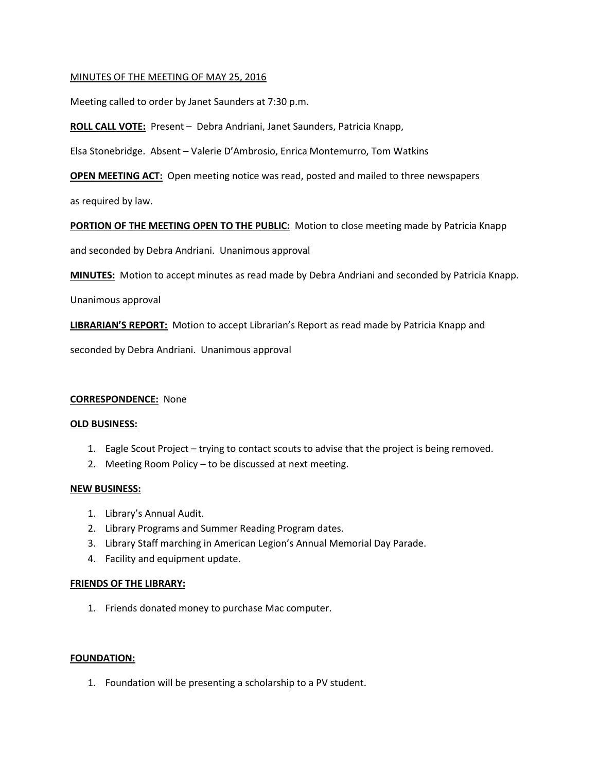### MINUTES OF THE MEETING OF MAY 25, 2016

Meeting called to order by Janet Saunders at 7:30 p.m.

**ROLL CALL VOTE:** Present – Debra Andriani, Janet Saunders, Patricia Knapp,

Elsa Stonebridge. Absent – Valerie D'Ambrosio, Enrica Montemurro, Tom Watkins

**OPEN MEETING ACT:** Open meeting notice was read, posted and mailed to three newspapers

as required by law.

### **PORTION OF THE MEETING OPEN TO THE PUBLIC:** Motion to close meeting made by Patricia Knapp

and seconded by Debra Andriani. Unanimous approval

**MINUTES:** Motion to accept minutes as read made by Debra Andriani and seconded by Patricia Knapp.

Unanimous approval

**LIBRARIAN'S REPORT:** Motion to accept Librarian's Report as read made by Patricia Knapp and

seconded by Debra Andriani. Unanimous approval

### **CORRESPONDENCE:** None

#### **OLD BUSINESS:**

- 1. Eagle Scout Project trying to contact scouts to advise that the project is being removed.
- 2. Meeting Room Policy to be discussed at next meeting.

### **NEW BUSINESS:**

- 1. Library's Annual Audit.
- 2. Library Programs and Summer Reading Program dates.
- 3. Library Staff marching in American Legion's Annual Memorial Day Parade.
- 4. Facility and equipment update.

### **FRIENDS OF THE LIBRARY:**

1. Friends donated money to purchase Mac computer.

### **FOUNDATION:**

1. Foundation will be presenting a scholarship to a PV student.